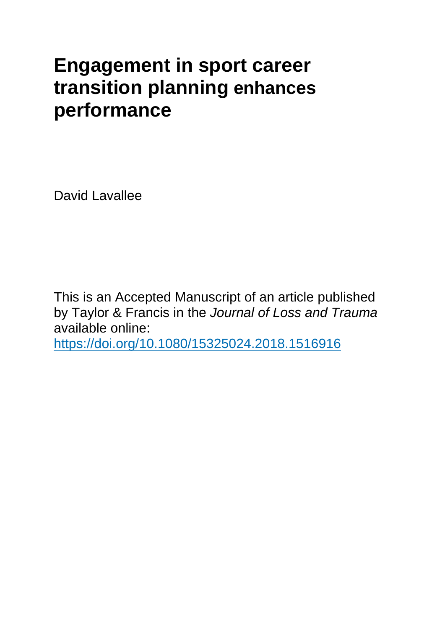## **Engagement in sport career transition planning enhances performance**

David Lavallee

This is an Accepted Manuscript of an article published by Taylor & Francis in the *Journal of Loss and Trauma* available online:

<https://doi.org/10.1080/15325024.2018.1516916>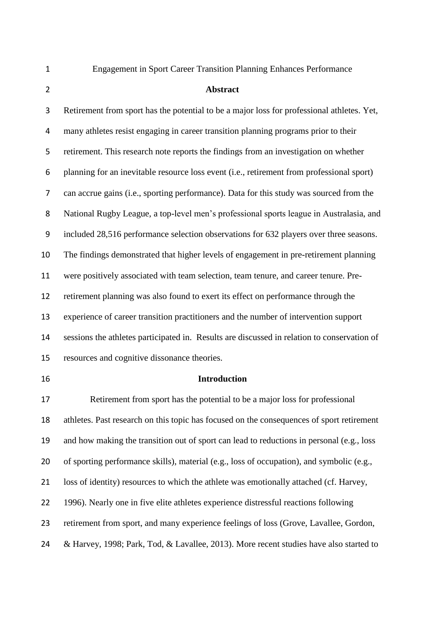Engagement in Sport Career Transition Planning Enhances Performance

## **Abstract**

 Retirement from sport has the potential to be a major loss for professional athletes. Yet, many athletes resist engaging in career transition planning programs prior to their retirement. This research note reports the findings from an investigation on whether planning for an inevitable resource loss event (i.e., retirement from professional sport) can accrue gains (i.e., sporting performance). Data for this study was sourced from the National Rugby League, a top-level men's professional sports league in Australasia, and included 28,516 performance selection observations for 632 players over three seasons. The findings demonstrated that higher levels of engagement in pre-retirement planning were positively associated with team selection, team tenure, and career tenure. Pre- retirement planning was also found to exert its effect on performance through the experience of career transition practitioners and the number of intervention support sessions the athletes participated in. Results are discussed in relation to conservation of resources and cognitive dissonance theories. **Introduction**

 Retirement from sport has the potential to be a major loss for professional athletes. Past research on this topic has focused on the consequences of sport retirement and how making the transition out of sport can lead to reductions in personal (e.g., loss of sporting performance skills), material (e.g., loss of occupation), and symbolic (e.g., loss of identity) resources to which the athlete was emotionally attached (cf. Harvey, 1996). Nearly one in five elite athletes experience distressful reactions following retirement from sport, and many experience feelings of loss (Grove, Lavallee, Gordon, & Harvey, 1998; Park, Tod, & Lavallee, 2013). More recent studies have also started to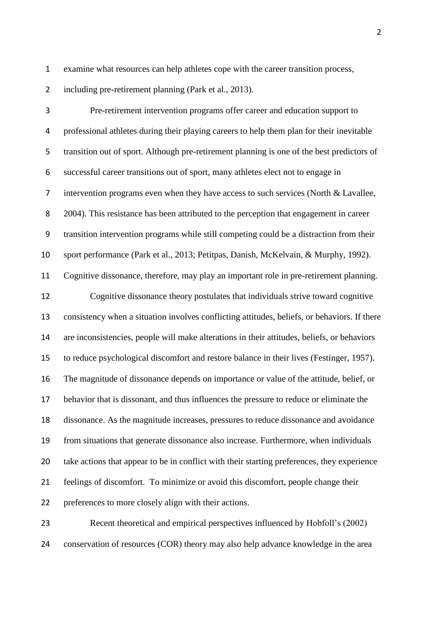examine what resources can help athletes cope with the career transition process,

2 including pre-retirement planning (Park et al., 2013).

 Pre-retirement intervention programs offer career and education support to professional athletes during their playing careers to help them plan for their inevitable transition out of sport. Although pre-retirement planning is one of the best predictors of successful career transitions out of sport, many athletes elect not to engage in intervention programs even when they have access to such services (North & Lavallee, 2004). This resistance has been attributed to the perception that engagement in career transition intervention programs while still competing could be a distraction from their sport performance (Park et al., 2013; Petitpas, Danish, McKelvain, & Murphy, 1992). Cognitive dissonance, therefore, may play an important role in pre-retirement planning. Cognitive dissonance theory postulates that individuals strive toward cognitive consistency when a situation involves conflicting attitudes, beliefs, or behaviors. If there are inconsistencies, people will make alterations in their attitudes, beliefs, or behaviors to reduce psychological discomfort and restore balance in their lives (Festinger, 1957). The magnitude of dissonance depends on importance or value of the attitude, belief, or behavior that is dissonant, and thus influences the pressure to reduce or eliminate the dissonance. As the magnitude increases, pressures to reduce dissonance and avoidance from situations that generate dissonance also increase. Furthermore, when individuals take actions that appear to be in conflict with their starting preferences, they experience feelings of discomfort. To minimize or avoid this discomfort, people change their preferences to more closely align with their actions.

 Recent theoretical and empirical perspectives influenced by Hobfoll's (2002) conservation of resources (COR) theory may also help advance knowledge in the area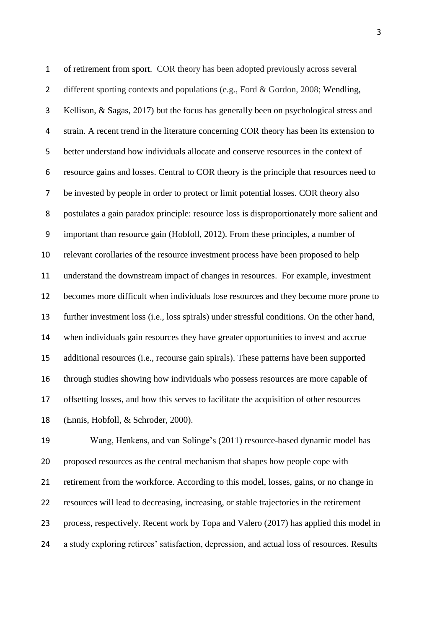of retirement from sport. COR theory has been adopted previously across several 2 different sporting contexts and populations (e.g., Ford & Gordon, 2008; Wendling, Kellison, & Sagas, 2017) but the focus has generally been on psychological stress and strain. A recent trend in the literature concerning COR theory has been its extension to better understand how individuals allocate and conserve resources in the context of resource gains and losses. Central to COR theory is the principle that resources need to be invested by people in order to protect or limit potential losses. COR theory also postulates a gain paradox principle: resource loss is disproportionately more salient and important than resource gain (Hobfoll, 2012). From these principles, a number of relevant corollaries of the resource investment process have been proposed to help understand the downstream impact of changes in resources. For example, investment becomes more difficult when individuals lose resources and they become more prone to further investment loss (i.e., loss spirals) under stressful conditions. On the other hand, when individuals gain resources they have greater opportunities to invest and accrue additional resources (i.e., recourse gain spirals). These patterns have been supported through studies showing how individuals who possess resources are more capable of offsetting losses, and how this serves to facilitate the acquisition of other resources (Ennis, Hobfoll, & Schroder, 2000).

 Wang, Henkens, and van Solinge's (2011) resource-based dynamic model has proposed resources as the central mechanism that shapes how people cope with retirement from the workforce. According to this model, losses, gains, or no change in resources will lead to decreasing, increasing, or stable trajectories in the retirement process, respectively. Recent work by Topa and Valero (2017) has applied this model in a study exploring retirees' satisfaction, depression, and actual loss of resources. Results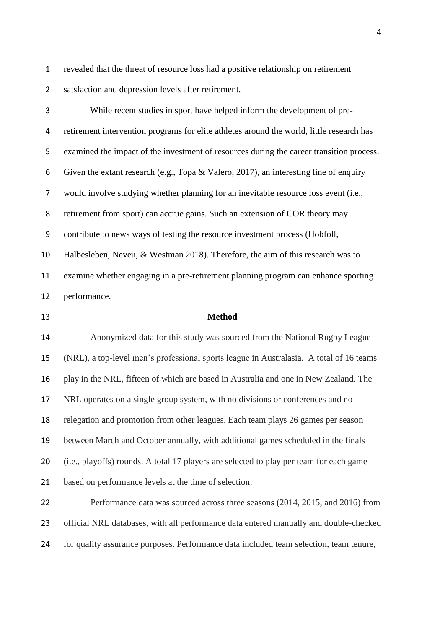revealed that the threat of resource loss had a positive relationship on retirement satsfaction and depression levels after retirement.

 While recent studies in sport have helped inform the development of pre- retirement intervention programs for elite athletes around the world, little research has examined the impact of the investment of resources during the career transition process. Given the extant research (e.g., Topa & Valero, 2017), an interesting line of enquiry would involve studying whether planning for an inevitable resource loss event (i.e., retirement from sport) can accrue gains. Such an extension of COR theory may contribute to news ways of testing the resource investment process (Hobfoll, Halbesleben, Neveu, & Westman 2018). Therefore, the aim of this research was to examine whether engaging in a pre-retirement planning program can enhance sporting performance.

## **Method**

 Anonymized data for this study was sourced from the National Rugby League (NRL), a top-level men's professional sports league in Australasia. A total of 16 teams play in the NRL, fifteen of which are based in Australia and one in New Zealand. The NRL operates on a single group system, with no divisions or conferences and no relegation and promotion from other leagues. Each team plays 26 games per season between March and October annually, with additional games scheduled in the finals (i.e., playoffs) rounds. A total 17 players are selected to play per team for each game based on performance levels at the time of selection.

 Performance data was sourced across three seasons (2014, 2015, and 2016) from official NRL databases, with all performance data entered manually and double-checked for quality assurance purposes. Performance data included team selection, team tenure,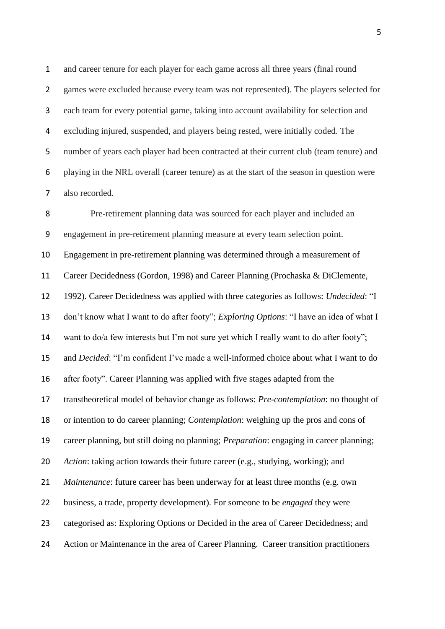and career tenure for each player for each game across all three years (final round games were excluded because every team was not represented). The players selected for each team for every potential game, taking into account availability for selection and excluding injured, suspended, and players being rested, were initially coded. The number of years each player had been contracted at their current club (team tenure) and playing in the NRL overall (career tenure) as at the start of the season in question were also recorded.

 Pre-retirement planning data was sourced for each player and included an engagement in pre-retirement planning measure at every team selection point. Engagement in pre-retirement planning was determined through a measurement of Career Decidedness (Gordon, 1998) and Career Planning (Prochaska & DiClemente, 1992). Career Decidedness was applied with three categories as follows: *Undecided*: "I don't know what I want to do after footy"; *Exploring Options*: "I have an idea of what I want to do/a few interests but I'm not sure yet which I really want to do after footy"; and *Decided*: "I'm confident I've made a well-informed choice about what I want to do after footy". Career Planning was applied with five stages adapted from the transtheoretical model of behavior change as follows: *Pre-contemplation*: no thought of or intention to do career planning; *Contemplation*: weighing up the pros and cons of career planning, but still doing no planning; *Preparation*: engaging in career planning; *Action*: taking action towards their future career (e.g., studying, working); and *Maintenance*: future career has been underway for at least three months (e.g. own business, a trade, property development). For someone to be *engaged* they were categorised as: Exploring Options or Decided in the area of Career Decidedness; and Action or Maintenance in the area of Career Planning. Career transition practitioners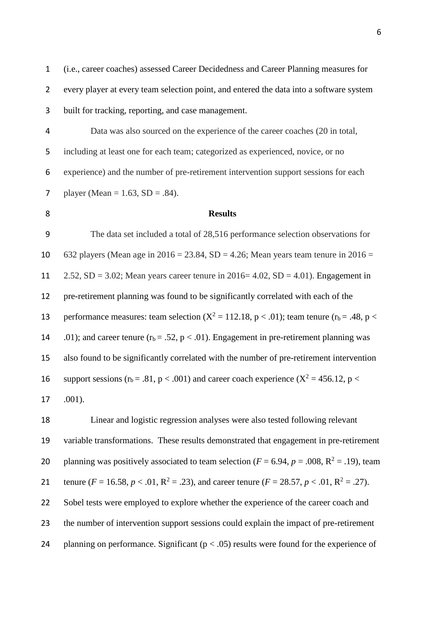2 every player at every team selection point, and entered the data into a software system 3 built for tracking, reporting, and case management. 4 Data was also sourced on the experience of the career coaches (20 in total, 5 including at least one for each team; categorized as experienced, novice, or no 6 experience) and the number of pre-retirement intervention support sessions for each 7 player (Mean =  $1.63$ , SD = .84). 8 **Results** 9 The data set included a total of 28,516 performance selection observations for 10 632 players (Mean age in  $2016 = 23.84$ , SD = 4.26; Mean years team tenure in  $2016 =$ 11  $2.52$ , SD = 3.02; Mean years career tenure in 2016= 4.02, SD = 4.01). Engagement in 12 pre-retirement planning was found to be significantly correlated with each of the 13 performance measures: team selection  $(X^2 = 112.18, p < .01)$ ; team tenure  $(r_b = .48, p < .01)$ 14 .01); and career tenure  $(r_b = .52, p < .01)$ . Engagement in pre-retirement planning was 15 also found to be significantly correlated with the number of pre-retirement intervention 16 support sessions ( $r_b = .81$ ,  $p < .001$ ) and career coach experience ( $X^2 = 456.12$ ,  $p <$ 17 .001). 18 Linear and logistic regression analyses were also tested following relevant 19 variable transformations. These results demonstrated that engagement in pre-retirement 20 planning was positively associated to team selection ( $F = 6.94$ ,  $p = .008$ ,  $R^2 = .19$ ), team tenure ( $F = 16.58$ ,  $p < .01$ ,  $R^2 = .23$ ), and career tenure ( $F = 28.57$ ,  $p < .01$ ,  $R^2 = .27$ ). 22 Sobel tests were employed to explore whether the experience of the career coach and 23 the number of intervention support sessions could explain the impact of pre-retirement

1 (i.e., career coaches) assessed Career Decidedness and Career Planning measures for

24 planning on performance. Significant  $(p < .05)$  results were found for the experience of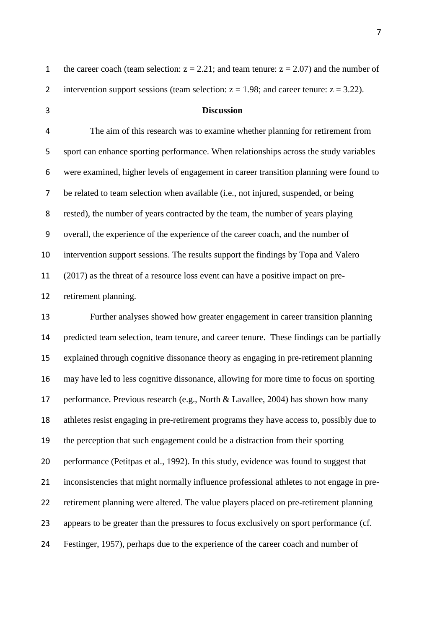| the career coach (team selection: $z = 2.21$ ; and team tenure: $z = 2.07$ ) and the number of |
|------------------------------------------------------------------------------------------------|
| intervention support sessions (team selection: $z = 1.98$ ; and career tenure: $z = 3.22$ ).   |

## **Discussion**

 The aim of this research was to examine whether planning for retirement from sport can enhance sporting performance. When relationships across the study variables were examined, higher levels of engagement in career transition planning were found to be related to team selection when available (i.e., not injured, suspended, or being rested), the number of years contracted by the team, the number of years playing overall, the experience of the experience of the career coach, and the number of intervention support sessions. The results support the findings by Topa and Valero (2017) as the threat of a resource loss event can have a positive impact on pre-retirement planning.

 Further analyses showed how greater engagement in career transition planning predicted team selection, team tenure, and career tenure. These findings can be partially explained through cognitive dissonance theory as engaging in pre-retirement planning may have led to less cognitive dissonance, allowing for more time to focus on sporting performance. Previous research (e.g., North & Lavallee, 2004) has shown how many athletes resist engaging in pre-retirement programs they have access to, possibly due to the perception that such engagement could be a distraction from their sporting performance (Petitpas et al., 1992). In this study, evidence was found to suggest that inconsistencies that might normally influence professional athletes to not engage in pre- retirement planning were altered. The value players placed on pre-retirement planning appears to be greater than the pressures to focus exclusively on sport performance (cf. Festinger, 1957), perhaps due to the experience of the career coach and number of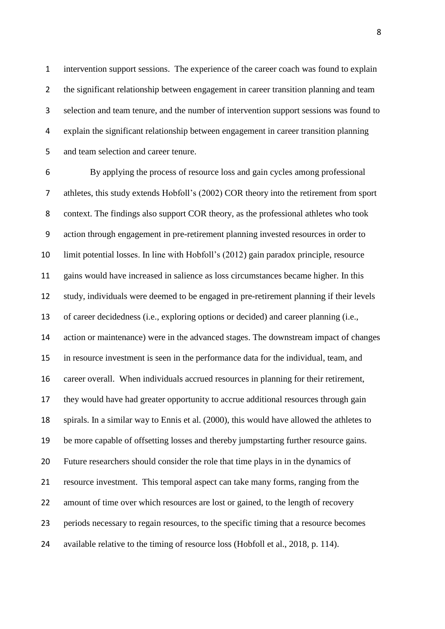intervention support sessions. The experience of the career coach was found to explain 2 the significant relationship between engagement in career transition planning and team selection and team tenure, and the number of intervention support sessions was found to explain the significant relationship between engagement in career transition planning and team selection and career tenure.

 By applying the process of resource loss and gain cycles among professional athletes, this study extends Hobfoll's (2002) COR theory into the retirement from sport context. The findings also support COR theory, as the professional athletes who took action through engagement in pre-retirement planning invested resources in order to limit potential losses. In line with Hobfoll's (2012) gain paradox principle, resource gains would have increased in salience as loss circumstances became higher. In this study, individuals were deemed to be engaged in pre-retirement planning if their levels of career decidedness (i.e., exploring options or decided) and career planning (i.e., action or maintenance) were in the advanced stages. The downstream impact of changes in resource investment is seen in the performance data for the individual, team, and career overall. When individuals accrued resources in planning for their retirement, they would have had greater opportunity to accrue additional resources through gain spirals. In a similar way to Ennis et al. (2000), this would have allowed the athletes to be more capable of offsetting losses and thereby jumpstarting further resource gains. Future researchers should consider the role that time plays in in the dynamics of resource investment. This temporal aspect can take many forms, ranging from the amount of time over which resources are lost or gained, to the length of recovery periods necessary to regain resources, to the specific timing that a resource becomes available relative to the timing of resource loss (Hobfoll et al., 2018, p. 114).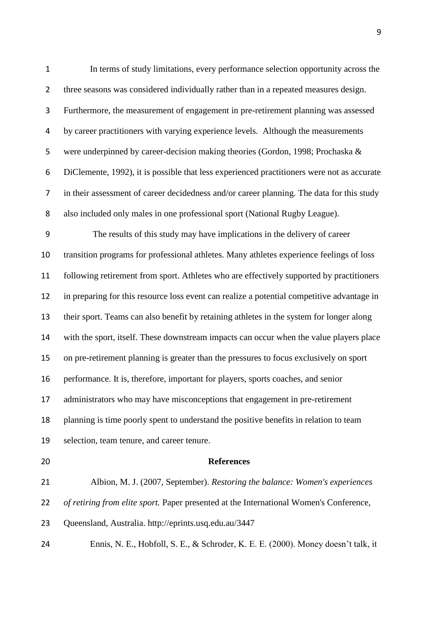| $\mathbf 1$      | In terms of study limitations, every performance selection opportunity across the          |
|------------------|--------------------------------------------------------------------------------------------|
| $\overline{2}$   | three seasons was considered individually rather than in a repeated measures design.       |
| 3                | Furthermore, the measurement of engagement in pre-retirement planning was assessed         |
| 4                | by career practitioners with varying experience levels. Although the measurements          |
| 5                | were underpinned by career-decision making theories (Gordon, 1998; Prochaska &             |
| 6                | DiClemente, 1992), it is possible that less experienced practitioners were not as accurate |
| 7                | in their assessment of career decidedness and/or career planning. The data for this study  |
| 8                | also included only males in one professional sport (National Rugby League).                |
| $\boldsymbol{9}$ | The results of this study may have implications in the delivery of career                  |
| 10               | transition programs for professional athletes. Many athletes experience feelings of loss   |
| 11               | following retirement from sport. Athletes who are effectively supported by practitioners   |
| 12               | in preparing for this resource loss event can realize a potential competitive advantage in |
| 13               | their sport. Teams can also benefit by retaining athletes in the system for longer along   |
| 14               | with the sport, itself. These downstream impacts can occur when the value players place    |
| 15               | on pre-retirement planning is greater than the pressures to focus exclusively on sport     |
| 16               | performance. It is, therefore, important for players, sports coaches, and senior           |
| 17               | administrators who may have misconceptions that engagement in pre-retirement               |
| 18               | planning is time poorly spent to understand the positive benefits in relation to team      |
| 19               | selection, team tenure, and career tenure.                                                 |
| 20               | <b>References</b>                                                                          |
| 21               | Albion, M. J. (2007, September). Restoring the balance: Women's experiences                |
| 22               | of retiring from elite sport. Paper presented at the International Women's Conference,     |

Queensland, Australia. http://eprints.usq.edu.au/3447

Ennis, N. E., Hobfoll, S. E., & Schroder, K. E. E. (2000). Money doesn't talk, it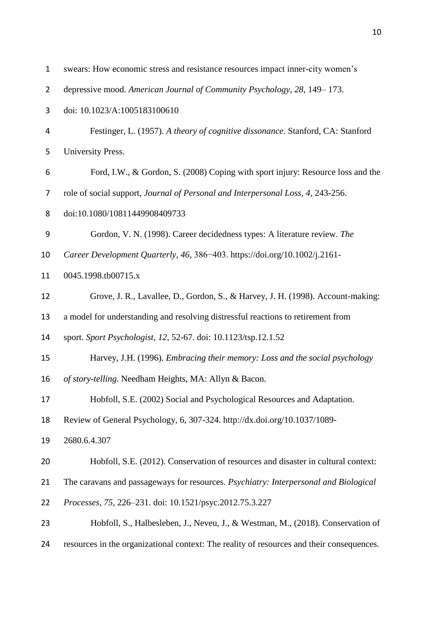| $\mathbf{1}$   | swears: How economic stress and resistance resources impact inner-city women's            |
|----------------|-------------------------------------------------------------------------------------------|
| $\overline{2}$ | depressive mood. American Journal of Community Psychology, 28, 149–173.                   |
| 3              | doi: 10.1023/A:1005183100610                                                              |
| 4              | Festinger, L. (1957). A theory of cognitive dissonance. Stanford, CA: Stanford            |
| 5              | University Press.                                                                         |
| 6              | Ford, I.W., & Gordon, S. (2008) Coping with sport injury: Resource loss and the           |
| 7              | role of social support, Journal of Personal and Interpersonal Loss, 4, 243-256.           |
| 8              | doi:10.1080/10811449908409733                                                             |
| 9              | Gordon, V. N. (1998). Career decidedness types: A literature review. The                  |
| 10             | Career Development Quarterly, 46, 386-403. https://doi.org/10.1002/j.2161-                |
| 11             | 0045.1998.tb00715.x                                                                       |
| 12             | Grove, J. R., Lavallee, D., Gordon, S., & Harvey, J. H. (1998). Account-making:           |
| 13             | a model for understanding and resolving distressful reactions to retirement from          |
| 14             | sport. Sport Psychologist, 12, 52-67. doi: 10.1123/tsp.12.1.52                            |
| 15             | Harvey, J.H. (1996). Embracing their memory: Loss and the social psychology               |
| 16             | of story-telling. Needham Heights, MA: Allyn & Bacon.                                     |
| 17             | Hobfoll, S.E. (2002) Social and Psychological Resources and Adaptation.                   |
| 18             | Review of General Psychology, 6, 307-324. http://dx.doi.org/10.1037/1089-                 |
| 19             | 2680.6.4.307                                                                              |
| 20             | Hobfoll, S.E. (2012). Conservation of resources and disaster in cultural context:         |
| 21             | The caravans and passageways for resources. Psychiatry: Interpersonal and Biological      |
| 22             | Processes, 75, 226-231. doi: 10.1521/psyc.2012.75.3.227                                   |
| 23             | Hobfoll, S., Halbesleben, J., Neveu, J., & Westman, M., (2018). Conservation of           |
| 24             | resources in the organizational context: The reality of resources and their consequences. |